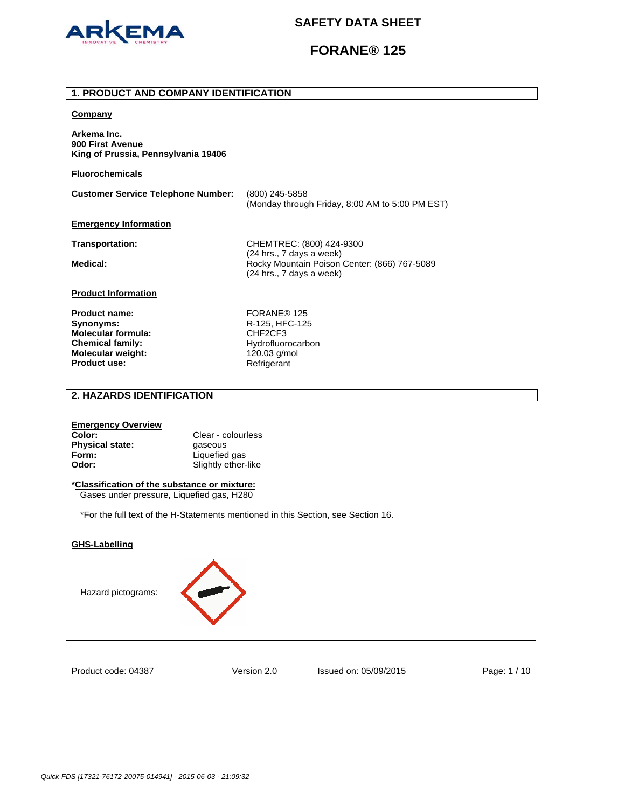

# **FORANE® 125**

## **1. PRODUCT AND COMPANY IDENTIFICATION**

## **Company**

**Arkema Inc. 900 First Avenue King of Prussia, Pennsylvania 19406** 

**Fluorochemicals**

**Customer Service Telephone Number:** (800) 245-5858 (Monday through Friday, 8:00 AM to 5:00 PM EST)

## **Emergency Information**

**Transportation:** CHEMTREC: (800) 424-9300 (24 hrs., 7 days a week) Medical: **Medical: Rocky Mountain Poison Center: (866) 767-5089** (24 hrs., 7 days a week)

## **Product Information**

Product name: FORANE<sup>®</sup> 125 **Synonyms:** R-125, HFC-125 **Molecular formula:** CHF2CF3 **Chemical family:** Hydrofluorocarbon **Molecular weight:** 120.03 g/mol<br> **Product use:** 120.03 Refrigerant **Product use:** 

# **2. HAZARDS IDENTIFICATION**

## **Emergency Overview**

**Color:** Clear - colourless **Physical state: gaseous Form:** Liquefied gas **Odor:** Slightly ether-like

# **\*Classification of the substance or mixture:**

Gases under pressure, Liquefied gas, H280

\*For the full text of the H-Statements mentioned in this Section, see Section 16.

## **GHS-Labelling**





Product code: 04387

Version 2.0 Issued on: 05/09/2015 Page: 1 / 10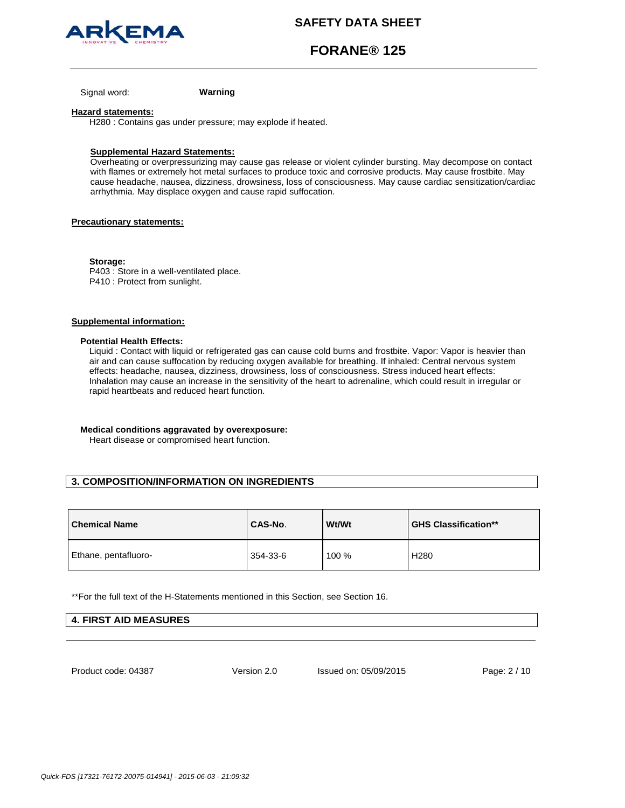

# **FORANE® 125**

Signal word: **Warning**

### **Hazard statements:**

H280 : Contains gas under pressure; may explode if heated.

## **Supplemental Hazard Statements:**

Overheating or overpressurizing may cause gas release or violent cylinder bursting. May decompose on contact with flames or extremely hot metal surfaces to produce toxic and corrosive products. May cause frostbite. May cause headache, nausea, dizziness, drowsiness, loss of consciousness. May cause cardiac sensitization/cardiac arrhythmia. May displace oxygen and cause rapid suffocation.

## **Precautionary statements:**

**Storage:**  P403 : Store in a well-ventilated place. P410 : Protect from sunlight.

# **Supplemental information:**

## **Potential Health Effects:**

Liquid : Contact with liquid or refrigerated gas can cause cold burns and frostbite. Vapor: Vapor is heavier than air and can cause suffocation by reducing oxygen available for breathing. If inhaled: Central nervous system effects: headache, nausea, dizziness, drowsiness, loss of consciousness. Stress induced heart effects: Inhalation may cause an increase in the sensitivity of the heart to adrenaline, which could result in irregular or rapid heartbeats and reduced heart function.

## **Medical conditions aggravated by overexposure:**

Heart disease or compromised heart function.

# **3. COMPOSITION/INFORMATION ON INGREDIENTS**

| <b>Chemical Name</b> | CAS-No.  | Wt/Wt | <b>GHS Classification**</b> |
|----------------------|----------|-------|-----------------------------|
| Ethane, pentafluoro- | 354-33-6 | 100 % | H <sub>280</sub>            |

\*\*For the full text of the H-Statements mentioned in this Section, see Section 16.

| <b>4. FIRST AID MEASURES</b> |  |
|------------------------------|--|
|                              |  |

Product code: 04387

Version 2.0 Issued on: 05/09/2015 Page: 2 / 10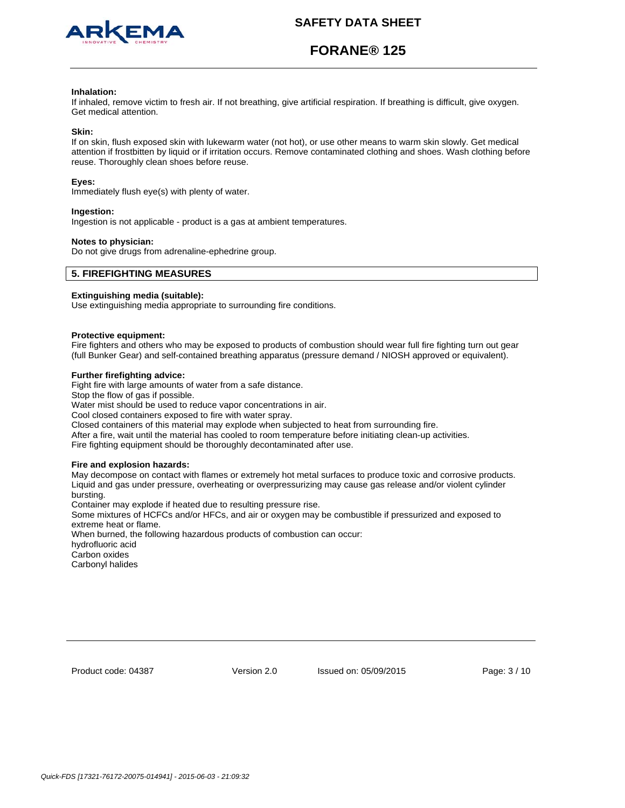

# **FORANE® 125**

### **Inhalation:**

If inhaled, remove victim to fresh air. If not breathing, give artificial respiration. If breathing is difficult, give oxygen. Get medical attention.

### **Skin:**

If on skin, flush exposed skin with lukewarm water (not hot), or use other means to warm skin slowly. Get medical attention if frostbitten by liquid or if irritation occurs. Remove contaminated clothing and shoes. Wash clothing before reuse. Thoroughly clean shoes before reuse.

### **Eyes:**

Immediately flush eye(s) with plenty of water.

### **Ingestion:**

Ingestion is not applicable - product is a gas at ambient temperatures.

### **Notes to physician:**

Do not give drugs from adrenaline-ephedrine group.

## **5. FIREFIGHTING MEASURES**

## **Extinguishing media (suitable):**

Use extinguishing media appropriate to surrounding fire conditions.

#### **Protective equipment:**

Fire fighters and others who may be exposed to products of combustion should wear full fire fighting turn out gear (full Bunker Gear) and self-contained breathing apparatus (pressure demand / NIOSH approved or equivalent).

## **Further firefighting advice:**

Fight fire with large amounts of water from a safe distance.

Stop the flow of gas if possible.

Water mist should be used to reduce vapor concentrations in air.

Cool closed containers exposed to fire with water spray.

Closed containers of this material may explode when subjected to heat from surrounding fire.

After a fire, wait until the material has cooled to room temperature before initiating clean-up activities.

Fire fighting equipment should be thoroughly decontaminated after use.

#### **Fire and explosion hazards:**

May decompose on contact with flames or extremely hot metal surfaces to produce toxic and corrosive products. Liquid and gas under pressure, overheating or overpressurizing may cause gas release and/or violent cylinder bursting.

Container may explode if heated due to resulting pressure rise.

Some mixtures of HCFCs and/or HFCs, and air or oxygen may be combustible if pressurized and exposed to extreme heat or flame.

When burned, the following hazardous products of combustion can occur:

hydrofluoric acid

Carbon oxides Carbonyl halides

Product code: 04387

Version 2.0 Issued on: 05/09/2015 Page: 3 / 10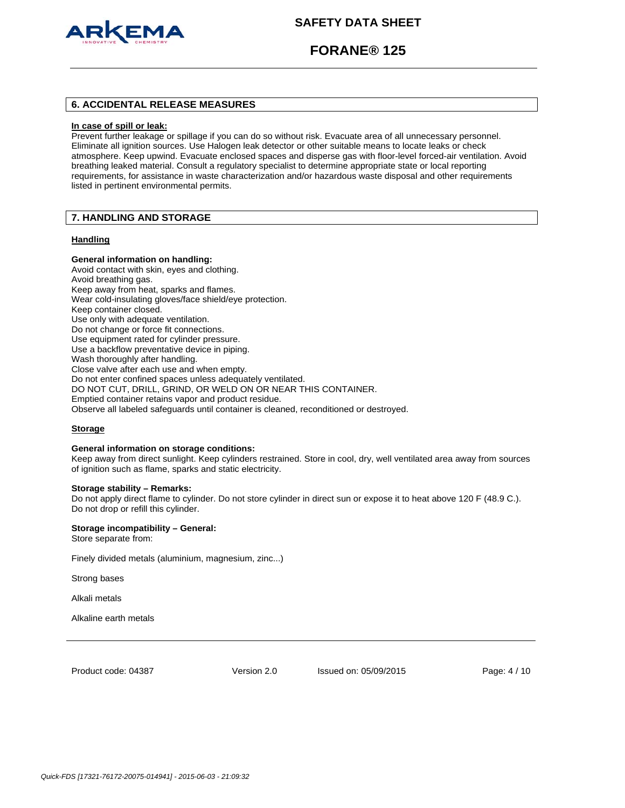

# **FORANE® 125**

# **6. ACCIDENTAL RELEASE MEASURES**

### **In case of spill or leak:**

Prevent further leakage or spillage if you can do so without risk. Evacuate area of all unnecessary personnel. Eliminate all ignition sources. Use Halogen leak detector or other suitable means to locate leaks or check atmosphere. Keep upwind. Evacuate enclosed spaces and disperse gas with floor-level forced-air ventilation. Avoid breathing leaked material. Consult a regulatory specialist to determine appropriate state or local reporting requirements, for assistance in waste characterization and/or hazardous waste disposal and other requirements listed in pertinent environmental permits.

# **7. HANDLING AND STORAGE**

## **Handling**

## **General information on handling:**

Avoid contact with skin, eyes and clothing. Avoid breathing gas. Keep away from heat, sparks and flames. Wear cold-insulating gloves/face shield/eye protection. Keep container closed. Use only with adequate ventilation. Do not change or force fit connections. Use equipment rated for cylinder pressure. Use a backflow preventative device in piping. Wash thoroughly after handling. Close valve after each use and when empty. Do not enter confined spaces unless adequately ventilated. DO NOT CUT, DRILL, GRIND, OR WELD ON OR NEAR THIS CONTAINER. Emptied container retains vapor and product residue. Observe all labeled safeguards until container is cleaned, reconditioned or destroyed.

## **Storage**

### **General information on storage conditions:**

Keep away from direct sunlight. Keep cylinders restrained. Store in cool, dry, well ventilated area away from sources of ignition such as flame, sparks and static electricity.

#### **Storage stability – Remarks:**

Do not apply direct flame to cylinder. Do not store cylinder in direct sun or expose it to heat above 120 F (48.9 C.). Do not drop or refill this cylinder.

### **Storage incompatibility – General:**

Store separate from:

Finely divided metals (aluminium, magnesium, zinc...)

Strong bases

Alkali metals

Alkaline earth metals

Product code: 04387

Version 2.0 Issued on: 05/09/2015 Page: 4 / 10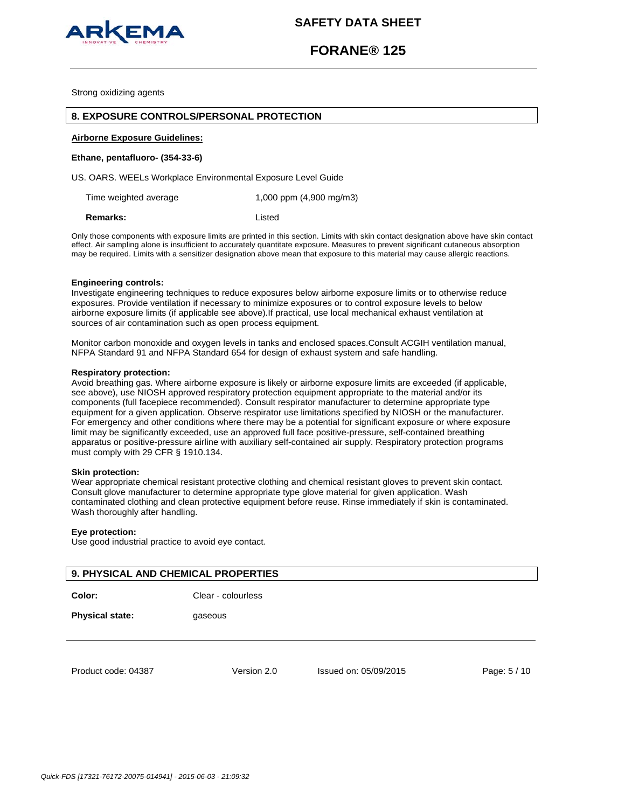

# **FORANE® 125**

Strong oxidizing agents

## **8. EXPOSURE CONTROLS/PERSONAL PROTECTION**

## **Airborne Exposure Guidelines:**

### **Ethane, pentafluoro- (354-33-6)**

US. OARS. WEELs Workplace Environmental Exposure Level Guide

Time weighted average 1,000 ppm (4,900 mg/m3)

**Remarks:** Listed

Only those components with exposure limits are printed in this section. Limits with skin contact designation above have skin contact effect. Air sampling alone is insufficient to accurately quantitate exposure. Measures to prevent significant cutaneous absorption may be required. Limits with a sensitizer designation above mean that exposure to this material may cause allergic reactions.

#### **Engineering controls:**

Investigate engineering techniques to reduce exposures below airborne exposure limits or to otherwise reduce exposures. Provide ventilation if necessary to minimize exposures or to control exposure levels to below airborne exposure limits (if applicable see above).If practical, use local mechanical exhaust ventilation at sources of air contamination such as open process equipment.

Monitor carbon monoxide and oxygen levels in tanks and enclosed spaces.Consult ACGIH ventilation manual, NFPA Standard 91 and NFPA Standard 654 for design of exhaust system and safe handling.

# **Respiratory protection:**

Avoid breathing gas. Where airborne exposure is likely or airborne exposure limits are exceeded (if applicable, see above), use NIOSH approved respiratory protection equipment appropriate to the material and/or its components (full facepiece recommended). Consult respirator manufacturer to determine appropriate type equipment for a given application. Observe respirator use limitations specified by NIOSH or the manufacturer. For emergency and other conditions where there may be a potential for significant exposure or where exposure limit may be significantly exceeded, use an approved full face positive-pressure, self-contained breathing apparatus or positive-pressure airline with auxiliary self-contained air supply. Respiratory protection programs must comply with 29 CFR § 1910.134.

#### **Skin protection:**

Wear appropriate chemical resistant protective clothing and chemical resistant gloves to prevent skin contact. Consult glove manufacturer to determine appropriate type glove material for given application. Wash contaminated clothing and clean protective equipment before reuse. Rinse immediately if skin is contaminated. Wash thoroughly after handling.

### **Eye protection:**

Use good industrial practice to avoid eye contact.

# **9. PHYSICAL AND CHEMICAL PROPERTIES**

**Color:** Clear - colourless

**Physical state: gaseous** 

Product code: 04387

Version 2.0 Issued on: 05/09/2015 Page: 5 / 10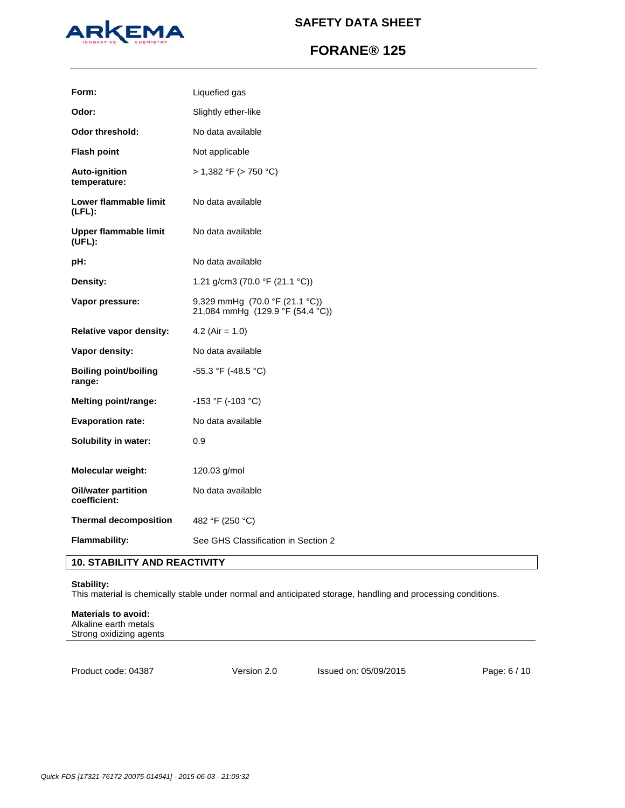

# **FORANE® 125**

| Form:                                  | Liquefied gas                                                      |
|----------------------------------------|--------------------------------------------------------------------|
| Odor:                                  | Slightly ether-like                                                |
| <b>Odor threshold:</b>                 | No data available                                                  |
| <b>Flash point</b>                     | Not applicable                                                     |
| Auto-ignition<br>temperature:          | > 1,382 °F (> 750 °C)                                              |
| Lower flammable limit<br>$(LFL)$ :     | No data available                                                  |
| Upper flammable limit<br>(UEL):        | No data available                                                  |
| pH:                                    | No data available                                                  |
| Density:                               | 1.21 g/cm3 (70.0 °F (21.1 °C))                                     |
| Vapor pressure:                        | 9,329 mmHg (70.0 °F (21.1 °C))<br>21,084 mmHg (129.9 °F (54.4 °C)) |
| <b>Relative vapor density:</b>         | 4.2 (Air = $1.0$ )                                                 |
| Vapor density:                         | No data available                                                  |
| <b>Boiling point/boiling</b><br>range: | -55.3 °F (-48.5 °C)                                                |
| Melting point/range:                   | -153 °F (-103 °C)                                                  |
| <b>Evaporation rate:</b>               | No data available                                                  |
| Solubility in water:                   | 0.9                                                                |
| <b>Molecular weight:</b>               | 120.03 g/mol                                                       |
| Oil/water partition<br>coefficient:    | No data available                                                  |
| <b>Thermal decomposition</b>           | 482 °F (250 °C)                                                    |
| <b>Flammability:</b>                   | See GHS Classification in Section 2                                |

# **10. STABILITY AND REACTIVITY**

# **Stability:**

This material is chemically stable under normal and anticipated storage, handling and processing conditions.

## **Materials to avoid:**  Alkaline earth metals

Strong oxidizing agents

Product code: 04387

Version 2.0 Issued on: 05/09/2015 Page: 6 / 10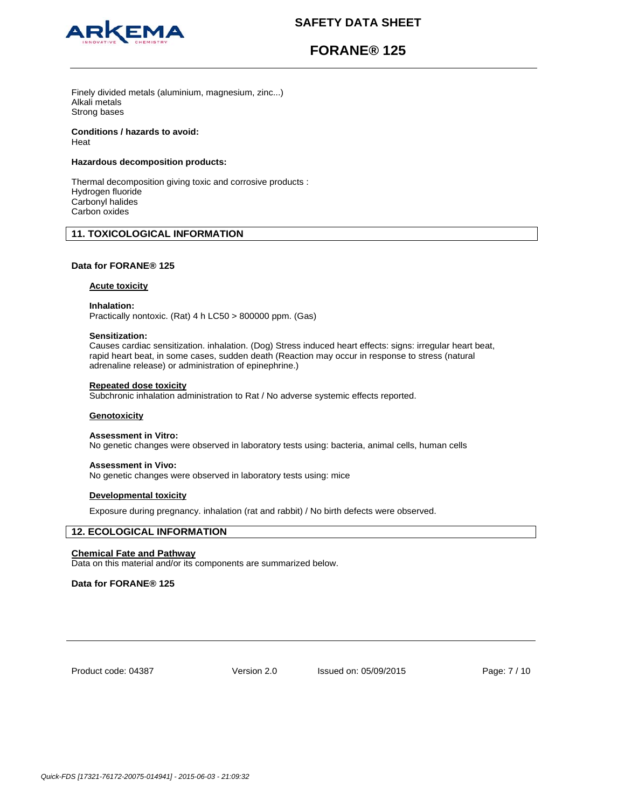

# **FORANE® 125**

Finely divided metals (aluminium, magnesium, zinc...) Alkali metals Strong bases

# **Conditions / hazards to avoid:**

Heat

# **Hazardous decomposition products:**

Thermal decomposition giving toxic and corrosive products : Hydrogen fluoride Carbonyl halides Carbon oxides

# **11. TOXICOLOGICAL INFORMATION**

# **Data for FORANE® 125**

# **Acute toxicity**

**Inhalation:** 

Practically nontoxic. (Rat) 4 h LC50 > 800000 ppm. (Gas)

## **Sensitization:**

Causes cardiac sensitization. inhalation. (Dog) Stress induced heart effects: signs: irregular heart beat, rapid heart beat, in some cases, sudden death (Reaction may occur in response to stress (natural adrenaline release) or administration of epinephrine.)

## **Repeated dose toxicity**

Subchronic inhalation administration to Rat / No adverse systemic effects reported.

# **Genotoxicity**

### **Assessment in Vitro:**

No genetic changes were observed in laboratory tests using: bacteria, animal cells, human cells

## **Assessment in Vivo:**

No genetic changes were observed in laboratory tests using: mice

## **Developmental toxicity**

Exposure during pregnancy. inhalation (rat and rabbit) / No birth defects were observed.

# **12. ECOLOGICAL INFORMATION**

# **Chemical Fate and Pathway**

Data on this material and/or its components are summarized below.

# **Data for FORANE® 125**

Product code: 04387

Version 2.0 Issued on: 05/09/2015 Page: 7 / 10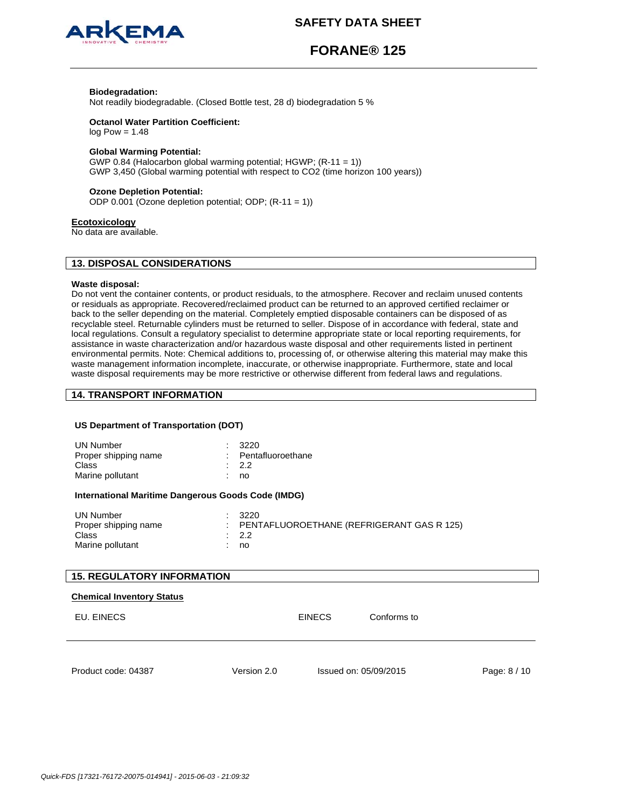



# **FORANE® 125**

## **Biodegradation:**

Not readily biodegradable. (Closed Bottle test, 28 d) biodegradation 5 %

# **Octanol Water Partition Coefficient:**

 $log Pow = 1.48$ 

## **Global Warming Potential:**

GWP 0.84 (Halocarbon global warming potential; HGWP; (R-11 = 1)) GWP 3,450 (Global warming potential with respect to CO2 (time horizon 100 years))

## **Ozone Depletion Potential:**

ODP 0.001 (Ozone depletion potential; ODP; (R-11 = 1))

#### **Ecotoxicology**

No data are available.

# **13. DISPOSAL CONSIDERATIONS**

#### **Waste disposal:**

Do not vent the container contents, or product residuals, to the atmosphere. Recover and reclaim unused contents or residuals as appropriate. Recovered/reclaimed product can be returned to an approved certified reclaimer or back to the seller depending on the material. Completely emptied disposable containers can be disposed of as recyclable steel. Returnable cylinders must be returned to seller. Dispose of in accordance with federal, state and local regulations. Consult a regulatory specialist to determine appropriate state or local reporting requirements, for assistance in waste characterization and/or hazardous waste disposal and other requirements listed in pertinent environmental permits. Note: Chemical additions to, processing of, or otherwise altering this material may make this waste management information incomplete, inaccurate, or otherwise inappropriate. Furthermore, state and local waste disposal requirements may be more restrictive or otherwise different from federal laws and regulations.

# **14. TRANSPORT INFORMATION**

## **US Department of Transportation (DOT)**

| <b>UN Number</b><br>Proper shipping name<br>Class<br>Marine pollutant |         | 3220<br>Pentafluoroethane<br>2.2<br>no                         |  |
|-----------------------------------------------------------------------|---------|----------------------------------------------------------------|--|
| International Maritime Dangerous Goods Code (IMDG)                    |         |                                                                |  |
| <b>UN Number</b><br>Proper shipping name<br>Class<br>Marine pollutant | ÷<br>t. | 3220<br>PENTAFLUOROETHANE (REFRIGERANT GAS R 125)<br>2.2<br>no |  |
| <b>15. REGULATORY INFORMATION</b>                                     |         |                                                                |  |
| <b>Chemical Inventory Status</b>                                      |         |                                                                |  |
| EU. EINECS                                                            |         | Conforms to<br><b>EINECS</b>                                   |  |
|                                                                       |         |                                                                |  |

Product code: 04387

Version 2.0 Issued on: 05/09/2015 Page: 8 / 10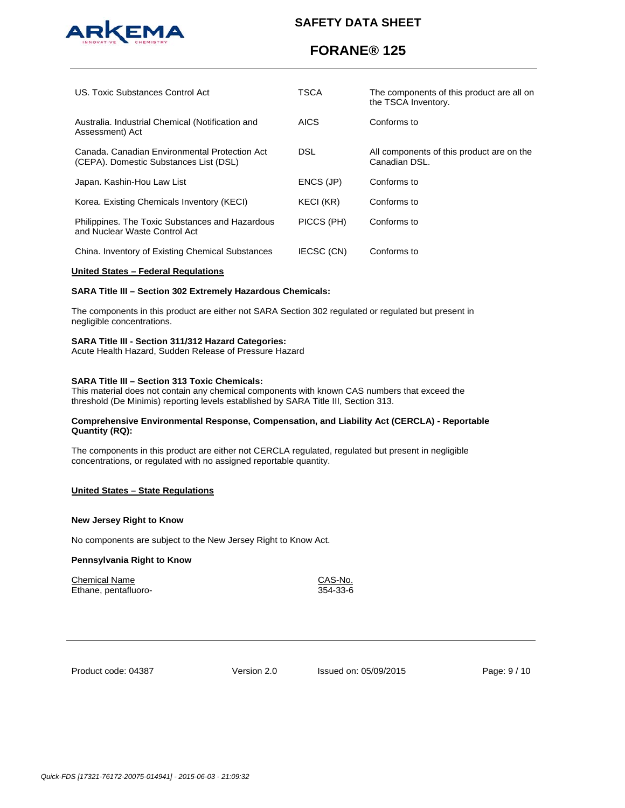

# **FORANE® 125**

| US. Toxic Substances Control Act                                                        | TSCA        | The components of this product are all on<br>the TSCA Inventory. |
|-----------------------------------------------------------------------------------------|-------------|------------------------------------------------------------------|
| Australia. Industrial Chemical (Notification and<br>Assessment) Act                     | <b>AICS</b> | Conforms to                                                      |
| Canada, Canadian Environmental Protection Act<br>(CEPA). Domestic Substances List (DSL) | DSL.        | All components of this product are on the<br>Canadian DSL.       |
| Japan. Kashin-Hou Law List                                                              | ENCS (JP)   | Conforms to                                                      |
| Korea. Existing Chemicals Inventory (KECI)                                              | KECI (KR)   | Conforms to                                                      |
| Philippines. The Toxic Substances and Hazardous<br>and Nuclear Waste Control Act        | PICCS (PH)  | Conforms to                                                      |
| China. Inventory of Existing Chemical Substances                                        | IECSC (CN)  | Conforms to                                                      |

### **United States – Federal Regulations**

# **SARA Title III – Section 302 Extremely Hazardous Chemicals:**

The components in this product are either not SARA Section 302 regulated or regulated but present in negligible concentrations.

## **SARA Title III - Section 311/312 Hazard Categories:**

Acute Health Hazard, Sudden Release of Pressure Hazard

# **SARA Title III – Section 313 Toxic Chemicals:**

This material does not contain any chemical components with known CAS numbers that exceed the threshold (De Minimis) reporting levels established by SARA Title III, Section 313.

## **Comprehensive Environmental Response, Compensation, and Liability Act (CERCLA) - Reportable Quantity (RQ):**

The components in this product are either not CERCLA regulated, regulated but present in negligible concentrations, or regulated with no assigned reportable quantity.

## **United States – State Regulations**

## **New Jersey Right to Know**

No components are subject to the New Jersey Right to Know Act.

## **Pennsylvania Right to Know**

Chemical Name<br>
Ethane, pentafluoro-<br>
354-33-6<br>
CAS-No. Ethane, pentafluoro-

Product code: 04387

Version 2.0 Issued on: 05/09/2015 Page: 9 / 10